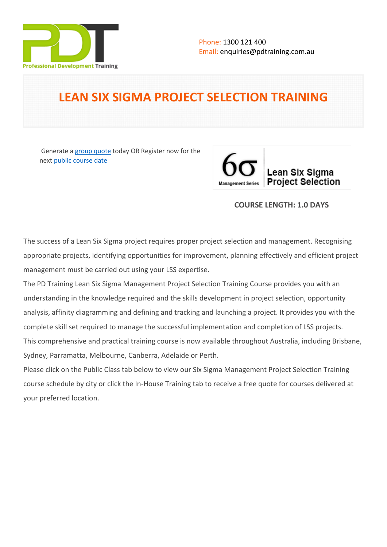

# **LEAN SIX SIGMA PROJECT SELECTION TRAINING**

 Generate a [group quote](https://pdtraining.com.au/inhouse-training-quote?cse=PDT0172) today OR Register now for the next [public course date](https://pdtraining.com.au/booking?schedulecode=oPBA9fHoTh1RKAIo8Fv1KIgDsCYREF3Tpf4xNiUONkFlLsTdyMP7fbmQI8hHqZUnoiCFGjKZVRozc41aSUu1Z5Nn2nZPbnyXAr7D0oHnb0mxXWNOghYFF2xsEoMst5YHtB9V7yjEng09TpAgKlI4z1&countryCode=AU¤cyCode=AU)



# **COURSE LENGTH: 1.0 DAYS**

The success of a Lean Six Sigma project requires proper project selection and management. Recognising appropriate projects, identifying opportunities for improvement, planning effectively and efficient project management must be carried out using your LSS expertise.

The PD Training Lean Six Sigma Management Project Selection Training Course provides you with an understanding in the knowledge required and the skills development in project selection, opportunity analysis, affinity diagramming and defining and tracking and launching a project. It provides you with the complete skill set required to manage the successful implementation and completion of LSS projects. This comprehensive and practical training course is now available throughout Australia, including Brisbane, Sydney, Parramatta, Melbourne, Canberra, Adelaide or Perth.

Please click on the Public Class tab below to view our Six Sigma Management Project Selection Training course schedule by city or click the In-House Training tab to receive a free quote for courses delivered at your preferred location.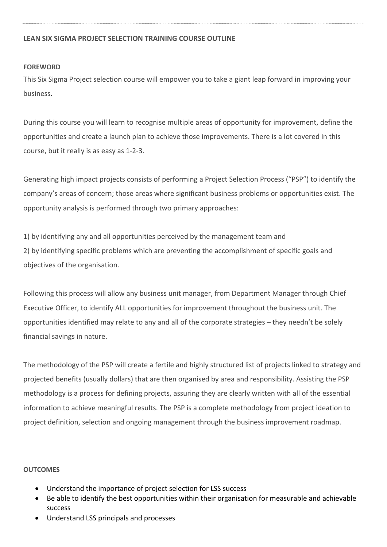# **LEAN SIX SIGMA PROJECT SELECTION TRAINING COURSE OUTLINE**

# **FOREWORD**

This Six Sigma Project selection course will empower you to take a giant leap forward in improving your business.

During this course you will learn to recognise multiple areas of opportunity for improvement, define the opportunities and create a launch plan to achieve those improvements. There is a lot covered in this course, but it really is as easy as 1-2-3.

Generating high impact projects consists of performing a Project Selection Process ("PSP") to identify the company's areas of concern; those areas where significant business problems or opportunities exist. The opportunity analysis is performed through two primary approaches:

1) by identifying any and all opportunities perceived by the management team and 2) by identifying specific problems which are preventing the accomplishment of specific goals and objectives of the organisation.

Following this process will allow any business unit manager, from Department Manager through Chief Executive Officer, to identify ALL opportunities for improvement throughout the business unit. The opportunities identified may relate to any and all of the corporate strategies – they needn't be solely financial savings in nature.

The methodology of the PSP will create a fertile and highly structured list of projects linked to strategy and projected benefits (usually dollars) that are then organised by area and responsibility. Assisting the PSP methodology is a process for defining projects, assuring they are clearly written with all of the essential information to achieve meaningful results. The PSP is a complete methodology from project ideation to project definition, selection and ongoing management through the business improvement roadmap.

### **OUTCOMES**

- Understand the importance of project selection for LSS success
- Be able to identify the best opportunities within their organisation for measurable and achievable success
- Understand LSS principals and processes